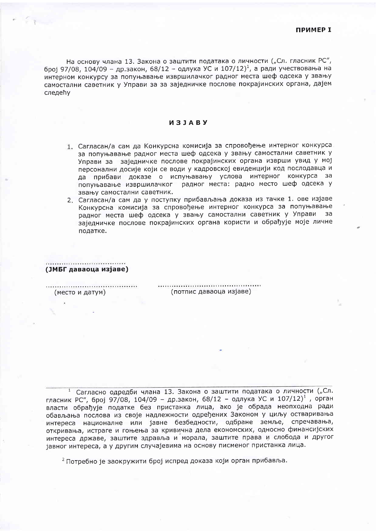На основу члана 13. Закона о заштити података о личности ("Сл. гласник РС", број 97/08, 104/09 - др.закон, 68/12 - одлука УС и 107/12)<sup>1</sup>, а ради учествовања на интерном конкурсу за попуњавање извршилачког радног места шеф одсека у звању самостални саветник у Управи за за заједничке послове покрајинских органа, дајем следећу

## *<u>U31ABY</u>*

- 1. Сагласан/а сам да Конкурсна комисија за спровођење интерног конкурса за попуњавање радног места шеф одсека у звању самостални саветник у Управи за заједничке послове покрајинских органа изврши увид у мој персонални досије који се води у кадровској евиденцији код послодавца и да прибави доказе о испуњавању услова интерног конкурса за попуњавање извршилачког радног места: радно место шеф одсека у звању самостални саветник.
- 2. Сагласан/а сам да у поступку прибављања доказа из тачке 1. ове изјаве Конкурсна комисија за спровођење интерног конкурса за попуњавање радног места шеф одсека у звању самостални саветник у Управи за заједничке послове покрајинских органа користи и обрађује моје личне податке.

(ЈМБГ даваоца изјаве)

(место и датум)

 $\mathbb{F}_{2}$ 

(потпис даваоца изјаве)

<sup>1</sup> Сагласно одредби члана 13. Закона о заштити података о личности ("Сл. гласник РС", број 97/08, 104/09 - др.закон, 68/12 - одлука УС и 107/12)<sup>1</sup>, орган власти обрађује податке без пристанка лица, ако је обрада неопходна ради обављања послова из своје надлежности одређених Законом у циљу остваривања интереса националне или јавне безбедности, одбране земље, спречавања, откривања, истраге и гоњења за кривична дела економских, односно финансијских интереса државе, заштите здравља и морала, заштите права и слобода и другог јавног интереса, а у другим случајевима на основу писменог пристанка лица.

<sup>2</sup> Потребно је заокружити број испред доказа који орган прибавља.